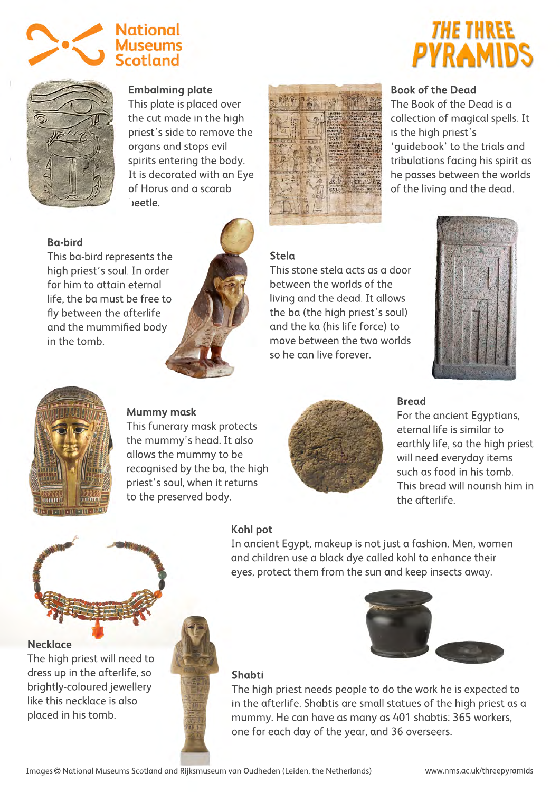



**Embalming plate**

This plate is placed over the cut made in the high priest's side to remove the organs and stops evil spirits entering the body. It is decorated with an Eye of Horus and a scarab beetle.

# **Ba-bird**

This ba-bird represents the high priest's soul. In order for him to attain eternal life, the ba must be free to fly between the afterlife and the mummified body in the tomb.



# **Stela**

This stone stela acts as a door between the worlds of the living and the dead. It allows the ba (the high priest's soul) and the ka (his life force) to move between the two worlds so he can live forever.



**Book of the Dead**

is the high priest's

The Book of the Dead is a collection of magical spells. It

THE THREE

'guidebook' to the trials and tribulations facing his spirit as he passes between the worlds of the living and the dead.



# **Mummy mask**

This funerary mask protects the mummy's head. It also allows the mummy to be recognised by the ba, the high priest's soul, when it returns to the preserved body.



### **Bread**

For the ancient Egyptians, eternal life is similar to earthly life, so the high priest will need everyday items such as food in his tomb. This bread will nourish him in the afterlife.



The high priest will need to dress up in the afterlife, so brightly-coloured jewellery like this necklace is also placed in his tomb.

### **Kohl pot**

In ancient Egypt, makeup is not just a fashion. Men, women and children use a black dye called kohl to enhance their eyes, protect them from the sun and keep insects away.

#### **Shabti**

The high priest needs people to do the work he is expected to in the afterlife. Shabtis are small statues of the high priest as a mummy. He can have as many as 401 shabtis: 365 workers, one for each day of the year, and 36 overseers.